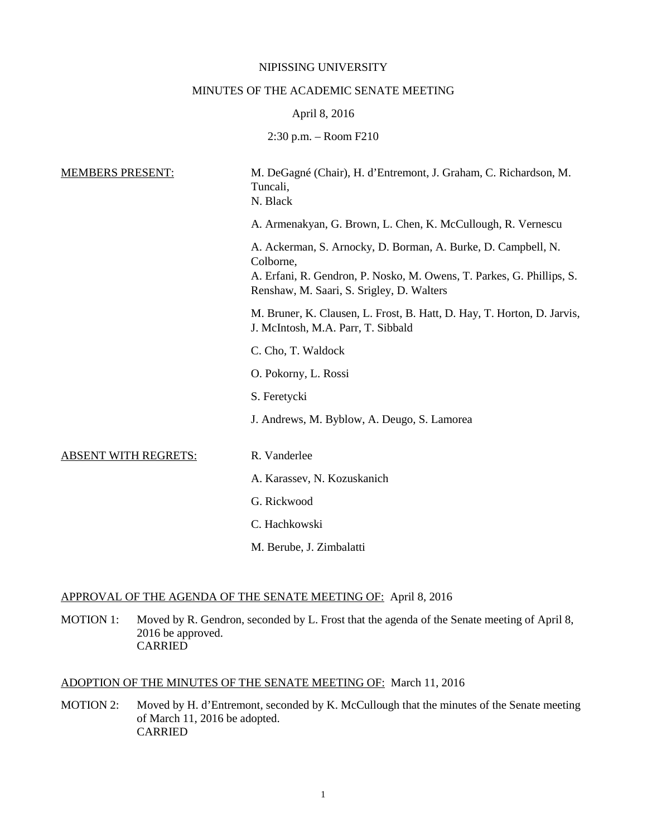#### NIPISSING UNIVERSITY

#### MINUTES OF THE ACADEMIC SENATE MEETING

#### April 8, 2016

2:30 p.m. – Room F210

| <b>MEMBERS PRESENT:</b>     | M. DeGagné (Chair), H. d'Entremont, J. Graham, C. Richardson, M.<br>Tuncali,<br>N. Black                                                                                                         |
|-----------------------------|--------------------------------------------------------------------------------------------------------------------------------------------------------------------------------------------------|
|                             | A. Armenakyan, G. Brown, L. Chen, K. McCullough, R. Vernescu                                                                                                                                     |
|                             | A. Ackerman, S. Arnocky, D. Borman, A. Burke, D. Campbell, N.<br>Colborne,<br>A. Erfani, R. Gendron, P. Nosko, M. Owens, T. Parkes, G. Phillips, S.<br>Renshaw, M. Saari, S. Srigley, D. Walters |
|                             | M. Bruner, K. Clausen, L. Frost, B. Hatt, D. Hay, T. Horton, D. Jarvis,<br>J. McIntosh, M.A. Parr, T. Sibbald                                                                                    |
|                             | C. Cho, T. Waldock                                                                                                                                                                               |
|                             | O. Pokorny, L. Rossi                                                                                                                                                                             |
|                             | S. Feretycki                                                                                                                                                                                     |
|                             | J. Andrews, M. Byblow, A. Deugo, S. Lamorea                                                                                                                                                      |
| <b>ABSENT WITH REGRETS:</b> | R. Vanderlee                                                                                                                                                                                     |
|                             | A. Karassev, N. Kozuskanich                                                                                                                                                                      |
|                             | G. Rickwood                                                                                                                                                                                      |
|                             | C. Hachkowski                                                                                                                                                                                    |
|                             | M. Berube, J. Zimbalatti                                                                                                                                                                         |

#### APPROVAL OF THE AGENDA OF THE SENATE MEETING OF: April 8, 2016

MOTION 1: Moved by R. Gendron, seconded by L. Frost that the agenda of the Senate meeting of April 8, 2016 be approved. **CARRIED** 

# ADOPTION OF THE MINUTES OF THE SENATE MEETING OF: March 11, 2016

MOTION 2: Moved by H. d'Entremont, seconded by K. McCullough that the minutes of the Senate meeting of March 11, 2016 be adopted. CARRIED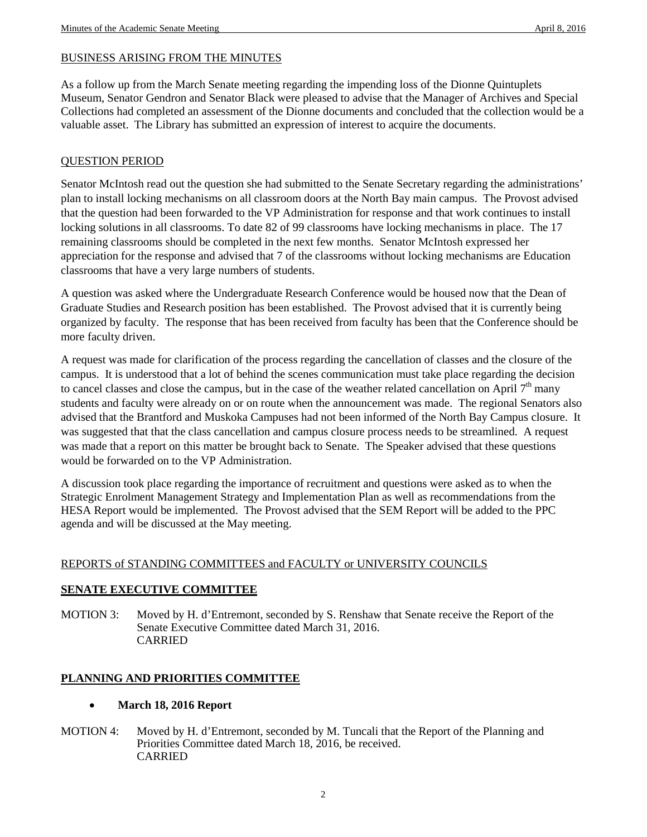# BUSINESS ARISING FROM THE MINUTES

As a follow up from the March Senate meeting regarding the impending loss of the Dionne Quintuplets Museum, Senator Gendron and Senator Black were pleased to advise that the Manager of Archives and Special Collections had completed an assessment of the Dionne documents and concluded that the collection would be a valuable asset. The Library has submitted an expression of interest to acquire the documents.

## QUESTION PERIOD

Senator McIntosh read out the question she had submitted to the Senate Secretary regarding the administrations' plan to install locking mechanisms on all classroom doors at the North Bay main campus. The Provost advised that the question had been forwarded to the VP Administration for response and that work continues to install locking solutions in all classrooms. To date 82 of 99 classrooms have locking mechanisms in place. The 17 remaining classrooms should be completed in the next few months. Senator McIntosh expressed her appreciation for the response and advised that 7 of the classrooms without locking mechanisms are Education classrooms that have a very large numbers of students.

A question was asked where the Undergraduate Research Conference would be housed now that the Dean of Graduate Studies and Research position has been established. The Provost advised that it is currently being organized by faculty. The response that has been received from faculty has been that the Conference should be more faculty driven.

A request was made for clarification of the process regarding the cancellation of classes and the closure of the campus. It is understood that a lot of behind the scenes communication must take place regarding the decision to cancel classes and close the campus, but in the case of the weather related cancellation on April  $7<sup>th</sup>$  many students and faculty were already on or on route when the announcement was made. The regional Senators also advised that the Brantford and Muskoka Campuses had not been informed of the North Bay Campus closure. It was suggested that that the class cancellation and campus closure process needs to be streamlined. A request was made that a report on this matter be brought back to Senate. The Speaker advised that these questions would be forwarded on to the VP Administration.

A discussion took place regarding the importance of recruitment and questions were asked as to when the Strategic Enrolment Management Strategy and Implementation Plan as well as recommendations from the HESA Report would be implemented. The Provost advised that the SEM Report will be added to the PPC agenda and will be discussed at the May meeting.

## REPORTS of STANDING COMMITTEES and FACULTY or UNIVERSITY COUNCILS

## **SENATE EXECUTIVE COMMITTEE**

MOTION 3: Moved by H. d'Entremont, seconded by S. Renshaw that Senate receive the Report of the Senate Executive Committee dated March 31, 2016. CARRIED

## **PLANNING AND PRIORITIES COMMITTEE**

#### • **March 18, 2016 Report**

MOTION 4: Moved by H. d'Entremont, seconded by M. Tuncali that the Report of the Planning and Priorities Committee dated March 18, 2016, be received. CARRIED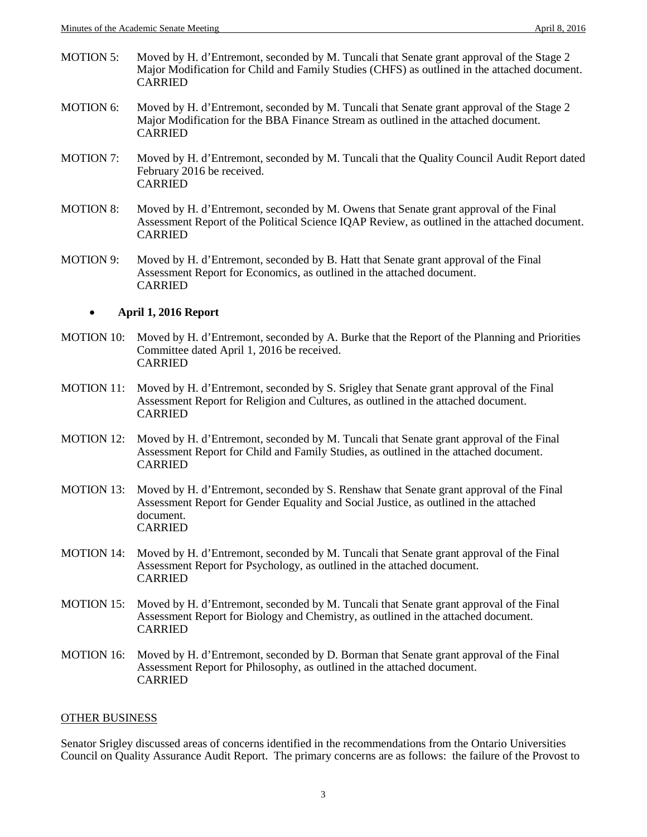- MOTION 5: Moved by H. d'Entremont, seconded by M. Tuncali that Senate grant approval of the Stage 2 Major Modification for Child and Family Studies (CHFS) as outlined in the attached document. CARRIED
- MOTION 6: Moved by H. d'Entremont, seconded by M. Tuncali that Senate grant approval of the Stage 2 Major Modification for the BBA Finance Stream as outlined in the attached document. CARRIED
- MOTION 7: Moved by H. d'Entremont, seconded by M. Tuncali that the Quality Council Audit Report dated February 2016 be received. CARRIED
- MOTION 8: Moved by H. d'Entremont, seconded by M. Owens that Senate grant approval of the Final Assessment Report of the Political Science IQAP Review, as outlined in the attached document. CARRIED
- MOTION 9: Moved by H. d'Entremont, seconded by B. Hatt that Senate grant approval of the Final Assessment Report for Economics, as outlined in the attached document. CARRIED

#### • **April 1, 2016 Report**

- MOTION 10: Moved by H. d'Entremont, seconded by A. Burke that the Report of the Planning and Priorities Committee dated April 1, 2016 be received. CARRIED
- MOTION 11: Moved by H. d'Entremont, seconded by S. Srigley that Senate grant approval of the Final Assessment Report for Religion and Cultures, as outlined in the attached document. CARRIED
- MOTION 12: Moved by H. d'Entremont, seconded by M. Tuncali that Senate grant approval of the Final Assessment Report for Child and Family Studies, as outlined in the attached document. CARRIED
- MOTION 13: Moved by H. d'Entremont, seconded by S. Renshaw that Senate grant approval of the Final Assessment Report for Gender Equality and Social Justice, as outlined in the attached document. CARRIED
- MOTION 14: Moved by H. d'Entremont, seconded by M. Tuncali that Senate grant approval of the Final Assessment Report for Psychology, as outlined in the attached document. CARRIED
- MOTION 15: Moved by H. d'Entremont, seconded by M. Tuncali that Senate grant approval of the Final Assessment Report for Biology and Chemistry, as outlined in the attached document. CARRIED
- MOTION 16: Moved by H. d'Entremont, seconded by D. Borman that Senate grant approval of the Final Assessment Report for Philosophy, as outlined in the attached document. CARRIED

#### OTHER BUSINESS

Senator Srigley discussed areas of concerns identified in the recommendations from the Ontario Universities Council on Quality Assurance Audit Report. The primary concerns are as follows: the failure of the Provost to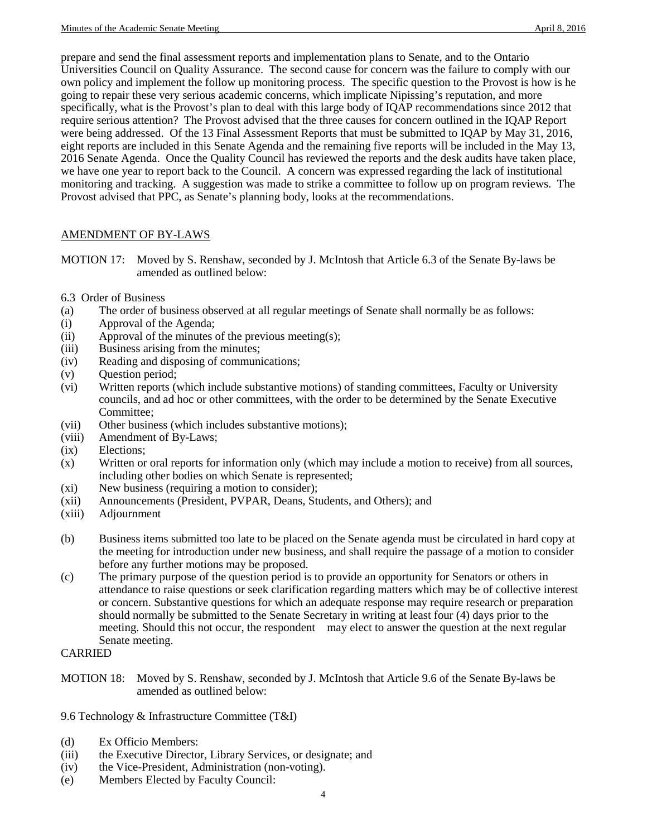prepare and send the final assessment reports and implementation plans to Senate, and to the Ontario Universities Council on Quality Assurance. The second cause for concern was the failure to comply with our own policy and implement the follow up monitoring process. The specific question to the Provost is how is he going to repair these very serious academic concerns, which implicate Nipissing's reputation, and more specifically, what is the Provost's plan to deal with this large body of IQAP recommendations since 2012 that require serious attention? The Provost advised that the three causes for concern outlined in the IQAP Report were being addressed. Of the 13 Final Assessment Reports that must be submitted to IQAP by May 31, 2016, eight reports are included in this Senate Agenda and the remaining five reports will be included in the May 13, 2016 Senate Agenda. Once the Quality Council has reviewed the reports and the desk audits have taken place, we have one year to report back to the Council. A concern was expressed regarding the lack of institutional monitoring and tracking. A suggestion was made to strike a committee to follow up on program reviews. The Provost advised that PPC, as Senate's planning body, looks at the recommendations.

## AMENDMENT OF BY-LAWS

- MOTION 17: Moved by S. Renshaw, seconded by J. McIntosh that Article 6.3 of the Senate By-laws be amended as outlined below:
- 6.3 Order of Business
- (a) The order of business observed at all regular meetings of Senate shall normally be as follows:
- (i) Approval of the Agenda;
- (ii) Approval of the minutes of the previous meeting(s);
- (iii) Business arising from the minutes;
- (iv) Reading and disposing of communications;
- (v) Question period;
- (vi) Written reports (which include substantive motions) of standing committees, Faculty or University councils, and ad hoc or other committees, with the order to be determined by the Senate Executive Committee;
- (vii) Other business (which includes substantive motions);
- (viii) Amendment of By-Laws;
- (ix) Elections;
- (x) Written or oral reports for information only (which may include a motion to receive) from all sources, including other bodies on which Senate is represented;
- (xi) New business (requiring a motion to consider);
- (xii) Announcements (President, PVPAR, Deans, Students, and Others); and
- (xiii) Adjournment
- (b) Business items submitted too late to be placed on the Senate agenda must be circulated in hard copy at the meeting for introduction under new business, and shall require the passage of a motion to consider before any further motions may be proposed.
- (c) The primary purpose of the question period is to provide an opportunity for Senators or others in attendance to raise questions or seek clarification regarding matters which may be of collective interest or concern. Substantive questions for which an adequate response may require research or preparation should normally be submitted to the Senate Secretary in writing at least four (4) days prior to the meeting. Should this not occur, the respondent may elect to answer the question at the next regular Senate meeting.

#### CARRIED

- MOTION 18: Moved by S. Renshaw, seconded by J. McIntosh that Article 9.6 of the Senate By-laws be amended as outlined below:
- 9.6 Technology & Infrastructure Committee (T&I)
- (d) Ex Officio Members:
- (iii) the Executive Director, Library Services, or designate; and
- (iv) the Vice-President, Administration (non-voting).
- (e) Members Elected by Faculty Council: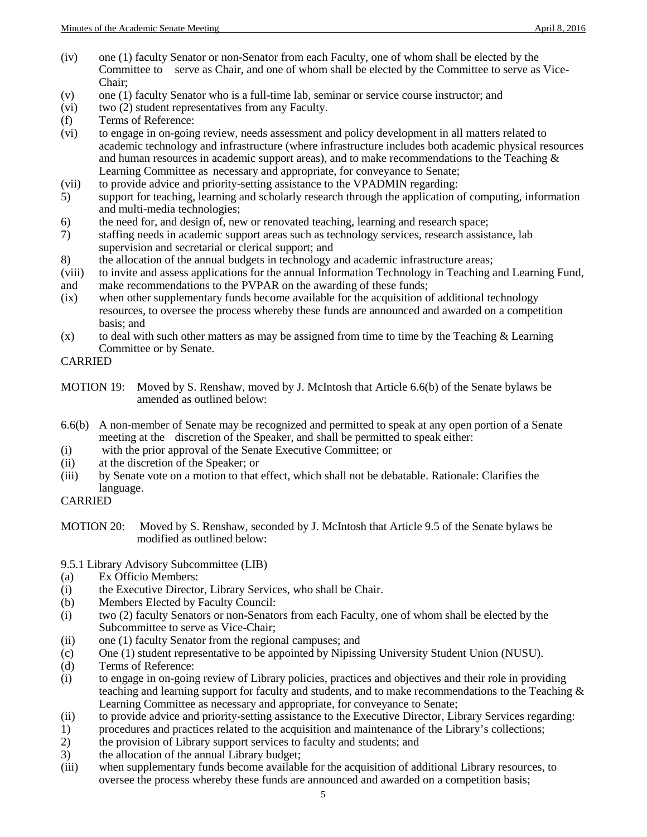- (iv) one (1) faculty Senator or non-Senator from each Faculty, one of whom shall be elected by the Committee to serve as Chair, and one of whom shall be elected by the Committee to serve as Vice-Chair;
- (v) one (1) faculty Senator who is a full-time lab, seminar or service course instructor; and
- (vi) two (2) student representatives from any Faculty.
- (f) Terms of Reference:
- (vi) to engage in on-going review, needs assessment and policy development in all matters related to academic technology and infrastructure (where infrastructure includes both academic physical resources and human resources in academic support areas), and to make recommendations to the Teaching  $\&$ Learning Committee as necessary and appropriate, for conveyance to Senate;
- (vii) to provide advice and priority-setting assistance to the VPADMIN regarding:
- 5) support for teaching, learning and scholarly research through the application of computing, information and multi-media technologies;
- 6) the need for, and design of, new or renovated teaching, learning and research space;
- 7) staffing needs in academic support areas such as technology services, research assistance, lab supervision and secretarial or clerical support; and
- 8) the allocation of the annual budgets in technology and academic infrastructure areas;
- (viii) to invite and assess applications for the annual Information Technology in Teaching and Learning Fund,
- and make recommendations to the PVPAR on the awarding of these funds;
- (ix) when other supplementary funds become available for the acquisition of additional technology resources, to oversee the process whereby these funds are announced and awarded on a competition basis; and
- $(x)$  to deal with such other matters as may be assigned from time to time by the Teaching & Learning Committee or by Senate.

# CARRIED

- MOTION 19: Moved by S. Renshaw, moved by J. McIntosh that Article 6.6(b) of the Senate bylaws be amended as outlined below:
- 6.6(b) A non-member of Senate may be recognized and permitted to speak at any open portion of a Senate meeting at the discretion of the Speaker, and shall be permitted to speak either:
- (i) with the prior approval of the Senate Executive Committee; or
- (ii) at the discretion of the Speaker; or
- (iii) by Senate vote on a motion to that effect, which shall not be debatable. Rationale: Clarifies the language.

## CARRIED

## 9.5.1 Library Advisory Subcommittee (LIB)

- (a) Ex Officio Members:
- (i) the Executive Director, Library Services, who shall be Chair.
- (b) Members Elected by Faculty Council:
- (i) two (2) faculty Senators or non-Senators from each Faculty, one of whom shall be elected by the Subcommittee to serve as Vice-Chair;
- (ii) one (1) faculty Senator from the regional campuses; and
- (c) One (1) student representative to be appointed by Nipissing University Student Union (NUSU).
- (d) Terms of Reference:
- (i) to engage in on-going review of Library policies, practices and objectives and their role in providing teaching and learning support for faculty and students, and to make recommendations to the Teaching  $\&$ Learning Committee as necessary and appropriate, for conveyance to Senate;
- (ii) to provide advice and priority-setting assistance to the Executive Director, Library Services regarding:
- 1) procedures and practices related to the acquisition and maintenance of the Library's collections;<br>2) the provision of Library support services to faculty and students; and
- 2) the provision of Library support services to faculty and students; and
- 3) the allocation of the annual Library budget;
- (iii) when supplementary funds become available for the acquisition of additional Library resources, to oversee the process whereby these funds are announced and awarded on a competition basis;

MOTION 20: Moved by S. Renshaw, seconded by J. McIntosh that Article 9.5 of the Senate bylaws be modified as outlined below: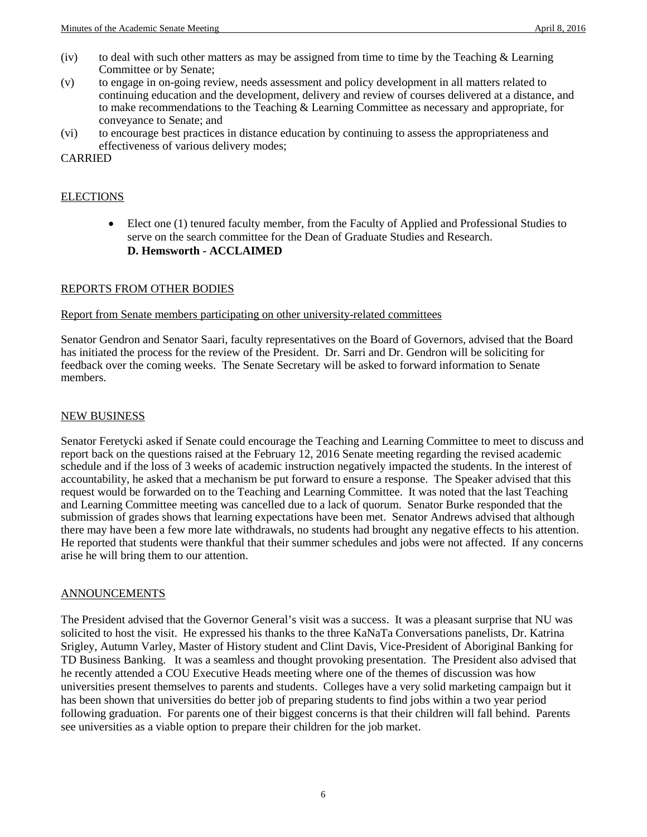- (iv) to deal with such other matters as may be assigned from time to time by the Teaching  $&$  Learning Committee or by Senate;
- (v) to engage in on-going review, needs assessment and policy development in all matters related to continuing education and the development, delivery and review of courses delivered at a distance, and to make recommendations to the Teaching & Learning Committee as necessary and appropriate, for conveyance to Senate; and
- (vi) to encourage best practices in distance education by continuing to assess the appropriateness and effectiveness of various delivery modes;

CARRIED

## ELECTIONS

• Elect one (1) tenured faculty member, from the Faculty of Applied and Professional Studies to serve on the search committee for the Dean of Graduate Studies and Research. **D. Hemsworth - ACCLAIMED**

## REPORTS FROM OTHER BODIES

#### Report from Senate members participating on other university-related committees

Senator Gendron and Senator Saari, faculty representatives on the Board of Governors, advised that the Board has initiated the process for the review of the President. Dr. Sarri and Dr. Gendron will be soliciting for feedback over the coming weeks. The Senate Secretary will be asked to forward information to Senate members.

#### NEW BUSINESS

Senator Feretycki asked if Senate could encourage the Teaching and Learning Committee to meet to discuss and report back on the questions raised at the February 12, 2016 Senate meeting regarding the revised academic schedule and if the loss of 3 weeks of academic instruction negatively impacted the students. In the interest of accountability, he asked that a mechanism be put forward to ensure a response. The Speaker advised that this request would be forwarded on to the Teaching and Learning Committee. It was noted that the last Teaching and Learning Committee meeting was cancelled due to a lack of quorum. Senator Burke responded that the submission of grades shows that learning expectations have been met. Senator Andrews advised that although there may have been a few more late withdrawals, no students had brought any negative effects to his attention. He reported that students were thankful that their summer schedules and jobs were not affected. If any concerns arise he will bring them to our attention.

#### ANNOUNCEMENTS

The President advised that the Governor General's visit was a success. It was a pleasant surprise that NU was solicited to host the visit. He expressed his thanks to the three KaNaTa Conversations panelists, Dr. Katrina Srigley, Autumn Varley, Master of History student and Clint Davis, Vice-President of Aboriginal Banking for TD Business Banking. It was a seamless and thought provoking presentation. The President also advised that he recently attended a COU Executive Heads meeting where one of the themes of discussion was how universities present themselves to parents and students. Colleges have a very solid marketing campaign but it has been shown that universities do better job of preparing students to find jobs within a two year period following graduation. For parents one of their biggest concerns is that their children will fall behind. Parents see universities as a viable option to prepare their children for the job market.